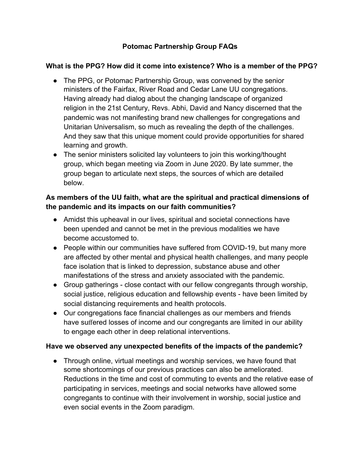## **Potomac Partnership Group FAQs**

## **What is the PPG? How did it come into existence? Who is a member of the PPG?**

- The PPG, or Potomac Partnership Group, was convened by the senior ministers of the Fairfax, River Road and Cedar Lane UU congregations. Having already had dialog about the changing landscape of organized religion in the 21st Century, Revs. Abhi, David and Nancy discerned that the pandemic was not manifesting brand new challenges for congregations and Unitarian Universalism, so much as revealing the depth of the challenges. And they saw that this unique moment could provide opportunities for shared learning and growth.
- The senior ministers solicited lay volunteers to join this working/thought group, which began meeting via Zoom in June 2020. By late summer, the group began to articulate next steps, the sources of which are detailed below.

## **As members of the UU faith, what are the spiritual and practical dimensions of the pandemic and its impacts on our faith communities?**

- Amidst this upheaval in our lives, spiritual and societal connections have been upended and cannot be met in the previous modalities we have become accustomed to.
- People within our communities have suffered from COVID-19, but many more are affected by other mental and physical health challenges, and many people face isolation that is linked to depression, substance abuse and other manifestations of the stress and anxiety associated with the pandemic.
- Group gatherings close contact with our fellow congregants through worship, social justice, religious education and fellowship events - have been limited by social distancing requirements and health protocols.
- Our congregations face financial challenges as our members and friends have suffered losses of income and our congregants are limited in our ability to engage each other in deep relational interventions.

## Have we observed any unexpected benefits of the impacts of the pandemic?

● Through online, virtual meetings and worship services, we have found that some shortcomings of our previous practices can also be ameliorated. Reductions in the time and cost of commuting to events and the relative ease of participating in services, meetings and social networks have allowed some congregants to continue with their involvement in worship, social justice and even social events in the Zoom paradigm.